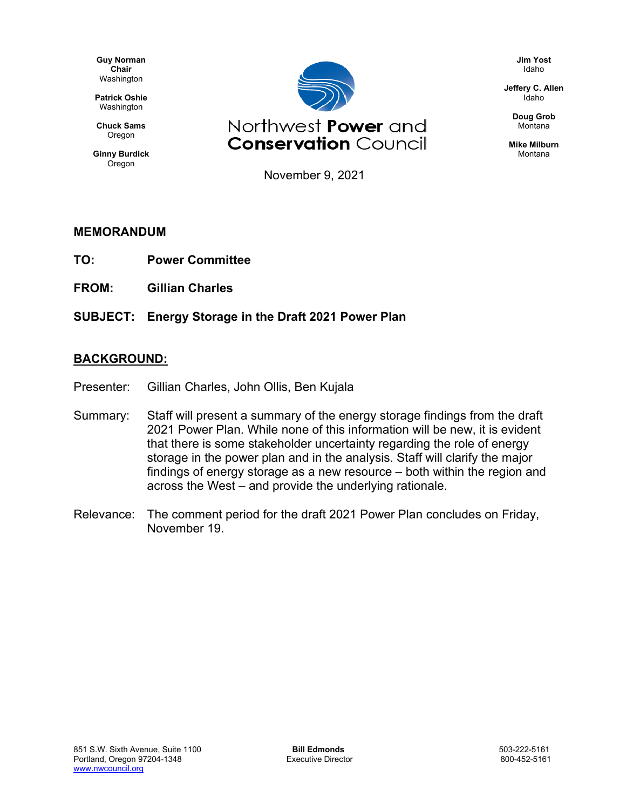**Guy Norman Chair** Washington

**Patrick Oshie** Washington

**Chuck Sams** Oregon

**Ginny Burdick** Oregon



Northwest Power and **Conservation Council**  **Jim Yost** Idaho

**Jeffery C. Allen** Idaho

> **Doug Grob** Montana

**Mike Milburn** Montana

November 9, 2021

#### **MEMORANDUM**

- **TO: Power Committee**
- **FROM: Gillian Charles**
- **SUBJECT: Energy Storage in the Draft 2021 Power Plan**

#### **BACKGROUND:**

- Presenter: Gillian Charles, John Ollis, Ben Kujala
- Summary: Staff will present a summary of the energy storage findings from the draft 2021 Power Plan. While none of this information will be new, it is evident that there is some stakeholder uncertainty regarding the role of energy storage in the power plan and in the analysis. Staff will clarify the major findings of energy storage as a new resource – both within the region and across the West – and provide the underlying rationale.
- Relevance: The comment period for the draft 2021 Power Plan concludes on Friday, November 19.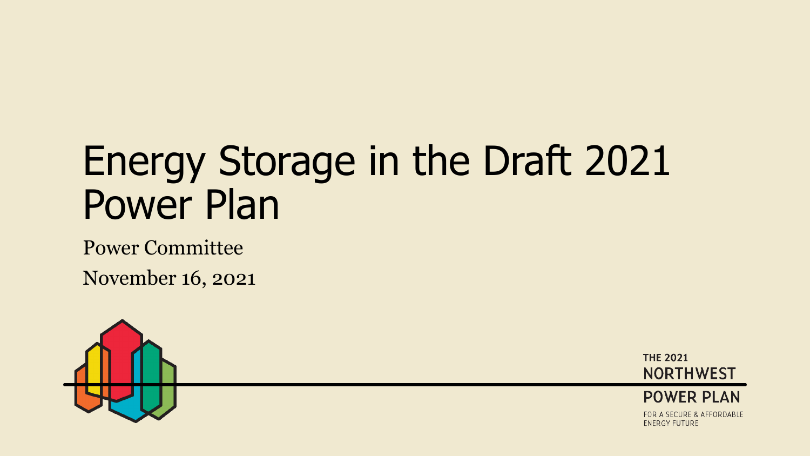# Energy Storage in the Draft 2021 Power Plan

Power Committee

November 16, 2021



**THE 2021 NORTHWEST** 



FOR A SECURE & AFFORDABLE **ENERGY FUTURE**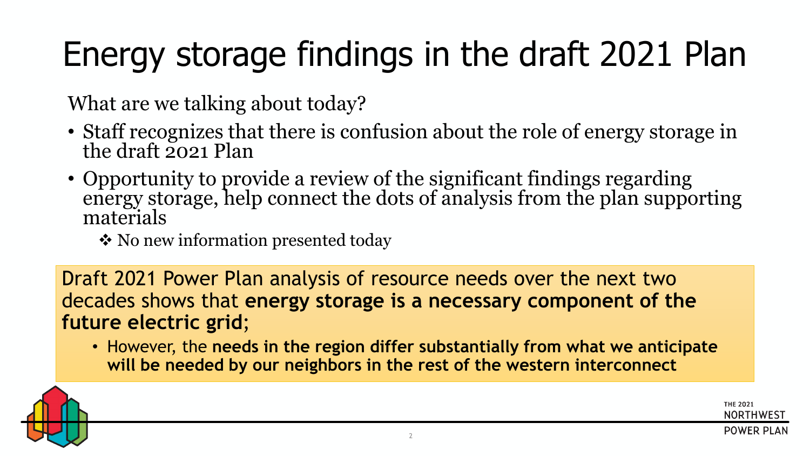# Energy storage findings in the draft 2021 Plan

What are we talking about today?

- Staff recognizes that there is confusion about the role of energy storage in the draft 2021 Plan
- Opportunity to provide a review of the significant findings regarding energy storage, help connect the dots of analysis from the plan supporting materials
	- ❖ No new information presented today

Draft 2021 Power Plan analysis of resource needs over the next two decades shows that **energy storage is a necessary component of the future electric grid**;

• However, the **needs in the region differ substantially from what we anticipate will be needed by our neighbors in the rest of the western interconnect** 

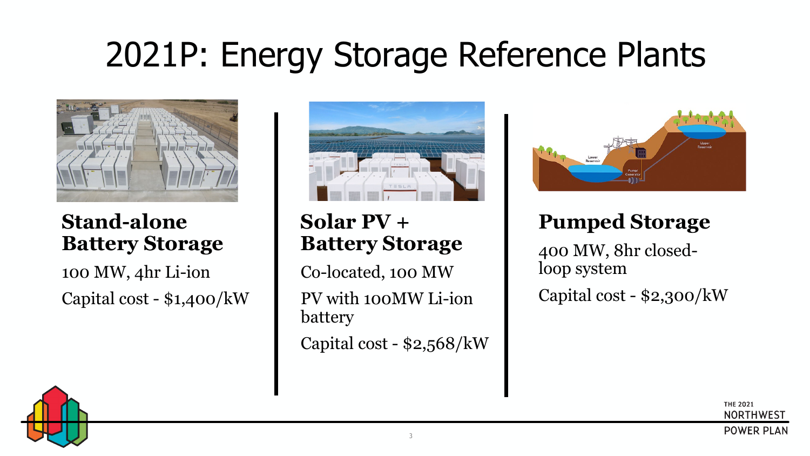## 2021P: Energy Storage Reference Plants



#### **Stand-alone Battery Storage**

100 MW, 4hr Li-ion Capital cost - \$1,400/kW



#### **Solar PV + Battery Storage**

Co-located, 100 MW PV with 100MW Li-ion battery Capital cost - \$2,568/kW



#### **Pumped Storage**

400 MW, 8hr closedloop system Capital cost - \$2,300/kW

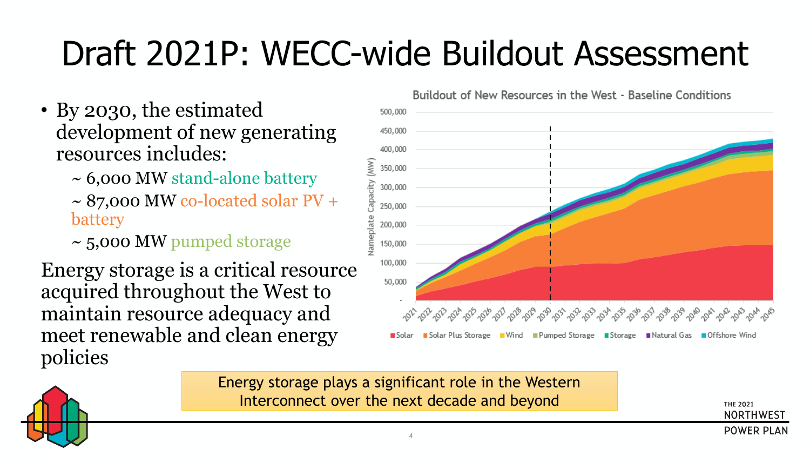# Draft 2021P: WECC-wide Buildout Assessment

- By 2030, the estimated development of new generating resources includes:
	- ~ 6,000 MW stand-alone battery
	- $\sim$  87,000 MW co-located solar PV + battery
	- ~ 5,000 MW pumped storage

Energy storage is a critical resource acquired throughout the West to maintain resource adequacy and meet renewable and clean energy policies

Buildout of New Resources in the West - Baseline Conditions 500,000 450,000 400,000 pacity (MW 350,000 300,000 250,000 200,000 150,000 100,000 50,000 - చిచ్చింది చిప్పించి చిప్పించి చిప్పించి చిప్పించి, చిప్పించి, చిప్పించి, చిప్పించి, చిప్పించి, చిప్పించి, చిప్ప ■ Solar Plus Storage ■ Wind ■ Pumped Storage ■ Storage ■ Natural Gas ■ Offshore Wind

Energy storage plays a significant role in the Western Interconnect over the next decade and beyond

**THE 2021 NORTHWEST POWER PLAN** 

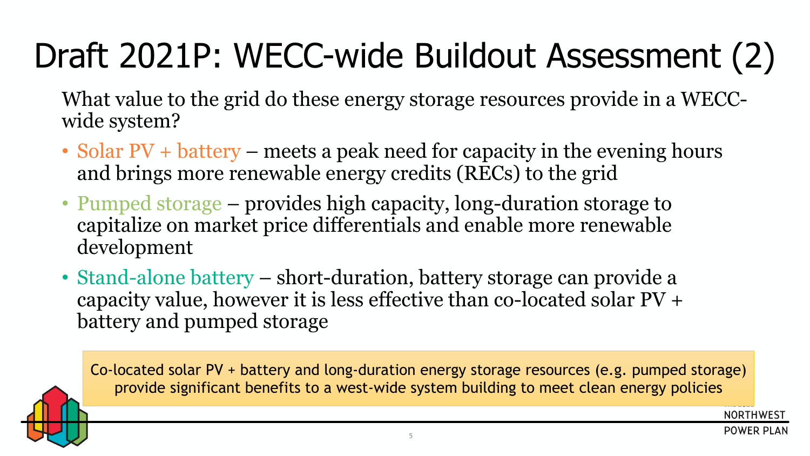# Draft 2021P: WECC-wide Buildout Assessment (2)

What value to the grid do these energy storage resources provide in a WECCwide system?

- Solar PV + battery meets a peak need for capacity in the evening hours and brings more renewable energy credits (RECs) to the grid
- Pumped storage provides high capacity, long-duration storage to capitalize on market price differentials and enable more renewable development
- Stand-alone battery short-duration, battery storage can provide a capacity value, however it is less effective than co-located solar PV + battery and pumped storage

Co-located solar PV + battery and long-duration energy storage resources (e.g. pumped storage) provide significant benefits to a west-wide system building to meet clean energy policies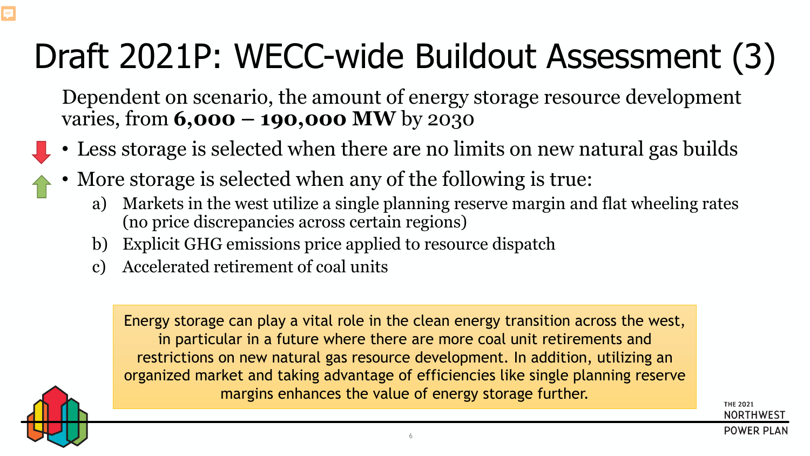# Draft 2021P: WECC-wide Buildout Assessment (3)

Dependent on scenario, the amount of energy storage resource development varies, from **6,000 – 190,000 MW** by 2030

- Less storage is selected when there are no limits on new natural gas builds
- More storage is selected when any of the following is true:
	- a) Markets in the west utilize a single planning reserve margin and flat wheeling rates (no price discrepancies across certain regions)
	- b) Explicit GHG emissions price applied to resource dispatch
	- c) Accelerated retirement of coal units

Energy storage can play a vital role in the clean energy transition across the west, in particular in a future where there are more coal unit retirements and restrictions on new natural gas resource development. In addition, utilizing an organized market and taking advantage of efficiencies like single planning reserve margins enhances the value of energy storage further.



Ę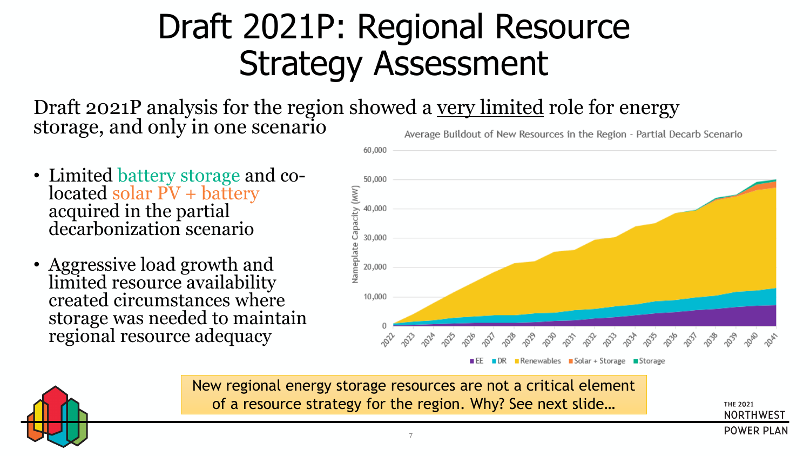## Draft 2021P: Regional Resource Strategy Assessment

Draft 2021P analysis for the region showed a <u>very limited</u> role for energy storage, and only in one scenario

- Limited battery storage and co- located solar PV + battery acquired in the partial decarbonization scenario
- Aggressive load growth and limited resource availability created circumstances where storage was needed to maintain regional resource adequacy



**DR** Renewables Solar + Storage Storage

New regional energy storage resources are not a critical element of a resource strategy for the region. Why? See next slide…

**THE 2021 NORTHWEST POWER PLAN** 

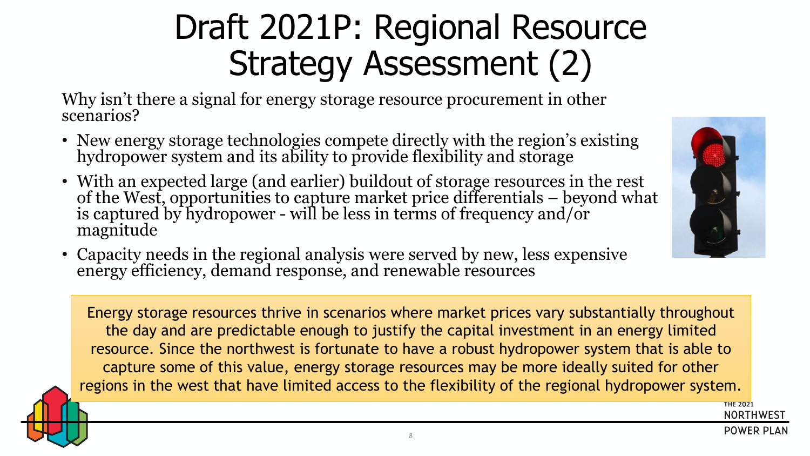## Draft 2021P: Regional Resource Strategy Assessment (2)

Why isn't there a signal for energy storage resource procurement in other scenarios?

- New energy storage technologies compete directly with the region's existing hydropower system and its ability to provide flexibility and storage
- With an expected large (and earlier) buildout of storage resources in the rest of the West, opportunities to capture market price differentials – beyond what<br>is captured by hydropower - will be less in terms of frequency and/or<br>magnitude
- Capacity needs in the regional analysis were served by new, less expensive energy efficiency, demand response, and renewable resources

Energy storage resources thrive in scenarios where market prices vary substantially throughout the day and are predictable enough to justify the capital investment in an energy limited resource. Since the northwest is fortunate to have a robust hydropower system that is able to capture some of this value, energy storage resources may be more ideally suited for other regions in the west that have limited access to the flexibility of the regional hydropower system.



**THE 2021** 

**NORTHWEST POWER PLAN**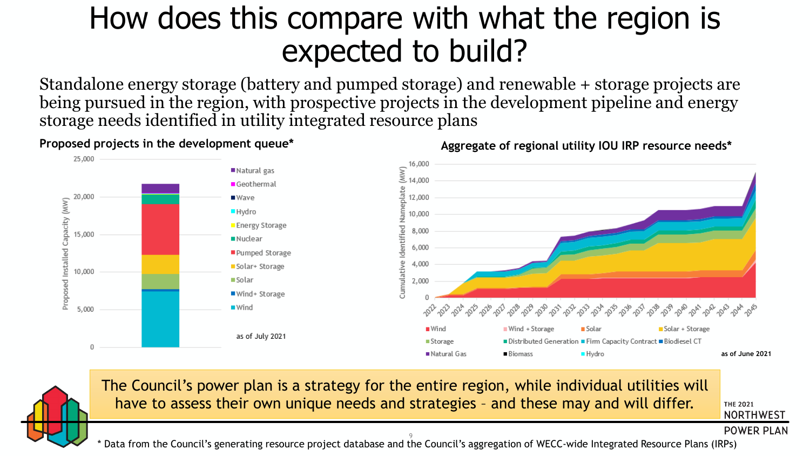### How does this compare with what the region is expected to build?

Standalone energy storage (battery and pumped storage) and renewable + storage projects are being pursued in the region, with prospective projects in the development pipeline and energy storage needs identified in utility integrated resource plans



Proposed projects in the development queue\* **Aggregate of regional utility IOU IRP resource needs\*** 



The Council's power plan is a strategy for the entire region, while individual utilities will have to assess their own unique needs and strategies – and these may and will differ.

**THE 2021 NORTHWEST** 

**POWER PLAN** 

9 \* Data from the Council's generating resource project database and the Council's aggregation of WECC-wide Integrated Resource Plans (IRPs)